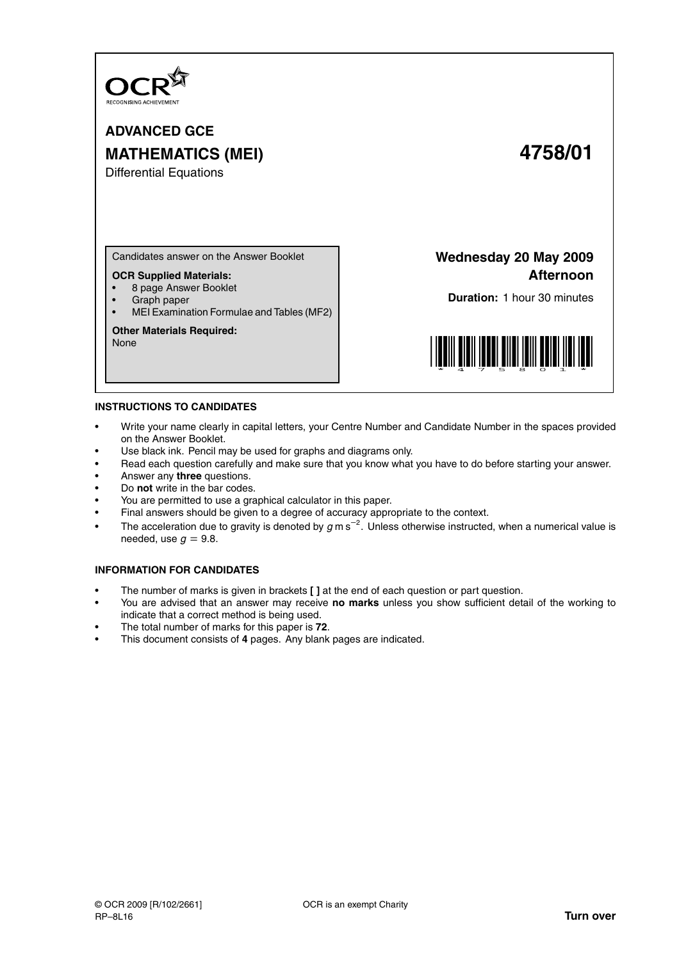

**ADVANCED GCE MATHEMATICS (MEI) 4758/01**

# Differential Equations

Candidates answer on the Answer Booklet

# **OCR Supplied Materials:**

- 8 page Answer Booklet
- Graph paper
- MEI Examination Formulae and Tables (MF2)

### **Other Materials Required:**

None

**Wednesday 20 May 2009 Afternoon**

**Duration:** 1 hour 30 minutes



#### **INSTRUCTIONS TO CANDIDATES**

- Write your name clearly in capital letters, your Centre Number and Candidate Number in the spaces provided on the Answer Booklet.
- Use black ink. Pencil may be used for graphs and diagrams only.
- Read each question carefully and make sure that you know what you have to do before starting your answer.
- Answer any **three** questions.
- Do **not** write in the bar codes.
- You are permitted to use a graphical calculator in this paper.
- Final answers should be given to a degree of accuracy appropriate to the context.
- The acceleration due to gravity is denoted by  $g$  m s<sup>-2</sup>. Unless otherwise instructed, when a numerical value is needed, use  $q = 9.8$ .

# **INFORMATION FOR CANDIDATES**

- The number of marks is given in brackets **[ ]** at the end of each question or part question.
- You are advised that an answer may receive **no marks** unless you show sufficient detail of the working to indicate that a correct method is being used.
- The total number of marks for this paper is **72**.
- This document consists of **4** pages. Any blank pages are indicated.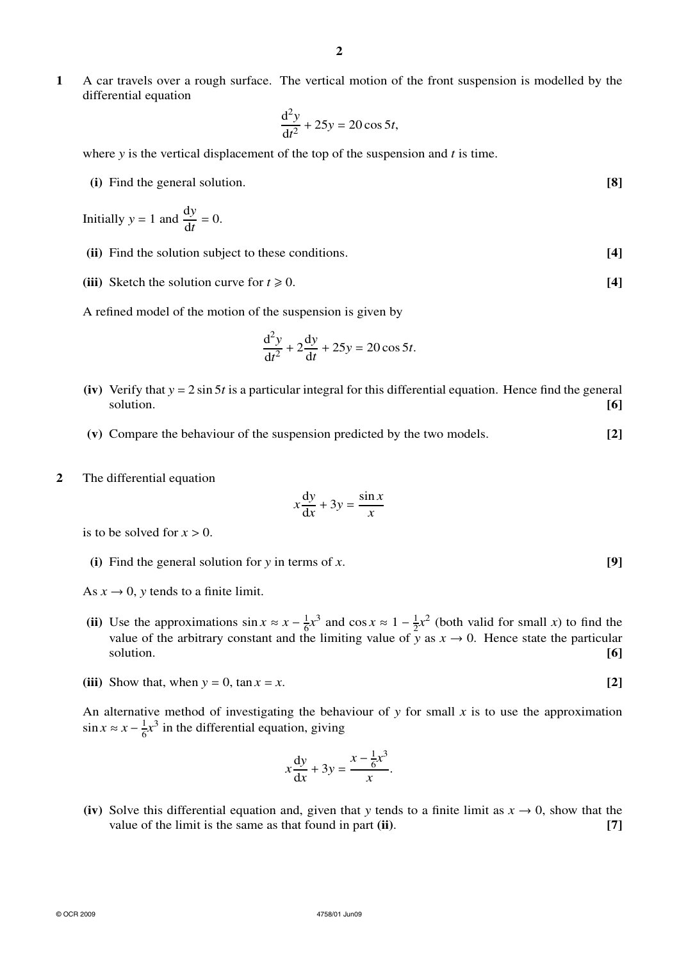**1** A car travels over a rough surface. The vertical motion of the front suspension is modelled by the differential equation

$$
\frac{\mathrm{d}^2 y}{\mathrm{d}t^2} + 25y = 20\cos 5t,
$$

where *y* is the vertical displacement of the top of the suspension and *t* is time.

**(i)** Find the general solution. **[8]**

Initially 
$$
y = 1
$$
 and  $\frac{dy}{dt} = 0$ .

- **(ii)** Find the solution subject to these conditions. **[4]**
- (iii) Sketch the solution curve for  $t \ge 0$ . [4]

A refined model of the motion of the suspension is given by

$$
\frac{\mathrm{d}^2 y}{\mathrm{d}t^2} + 2\frac{\mathrm{d}y}{\mathrm{d}t} + 25y = 20\cos 5t.
$$

- **(iv)** Verify that *y* = 2 sin 5*t* is a particular integral for this differential equation. Hence find the general solution. **[6]**
- **(v)** Compare the behaviour of the suspension predicted by the two models. **[2]**
- **2** The differential equation

$$
x\frac{\mathrm{d}y}{\mathrm{d}x} + 3y = \frac{\sin x}{x}
$$

is to be solved for  $x > 0$ .

**(i)** Find the general solution for *y* in terms of *x*. **[9]**

As  $x \to 0$ , *y* tends to a finite limit.

- **(ii)** Use the approximations  $\sin x \approx x \frac{1}{6}$  $\frac{1}{6}x^3$  and cos  $x \approx 1 - \frac{1}{2}$  $\frac{1}{2}x^2$  (both valid for small *x*) to find the value of the arbitrary constant and the limiting value of  $\bar{y}$  as  $x \to 0$ . Hence state the particular solution. **[6]**
- **(iii)** Show that, when  $y = 0$ ,  $\tan x = x$ . **[2]**

An alternative method of investigating the behaviour of  $y$  for small  $x$  is to use the approximation  $\sin x \approx x - \frac{1}{6}$  $\frac{1}{6}x^3$  in the differential equation, giving

$$
x\frac{\mathrm{d}y}{\mathrm{d}x} + 3y = \frac{x - \frac{1}{6}x^3}{x}.
$$

**(iv)** Solve this differential equation and, given that *y* tends to a finite limit as  $x \to 0$ , show that the value of the limit is the same as that found in part **(ii)**. **[7]**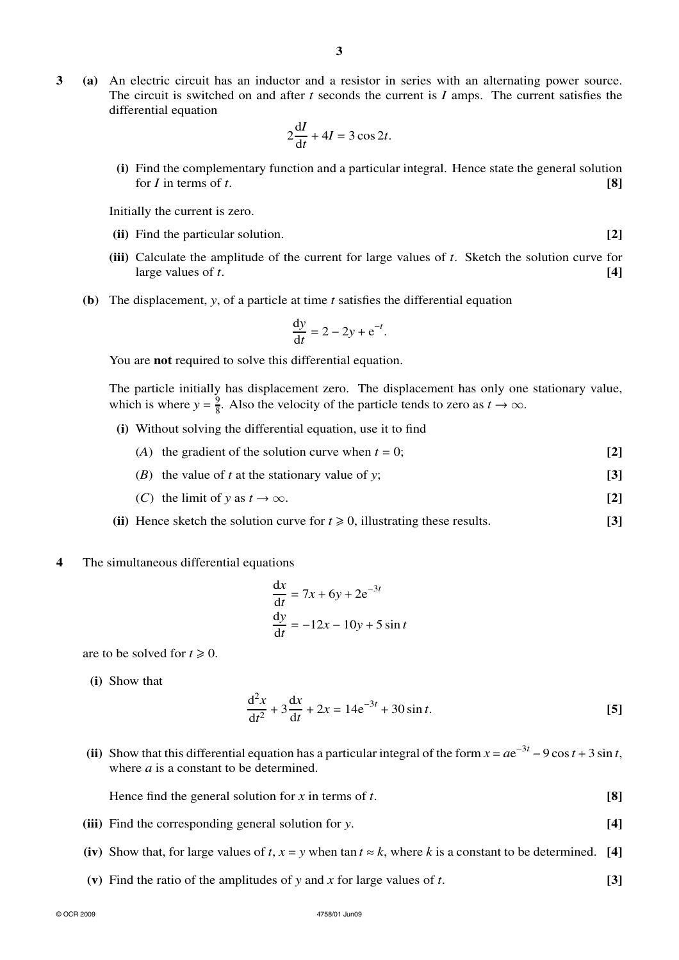**3 (a)** An electric circuit has an inductor and a resistor in series with an alternating power source. The circuit is switched on and after *t* seconds the current is *I* amps. The current satisfies the differential equation

$$
2\frac{\mathrm{d}I}{\mathrm{d}t} + 4I = 3\cos 2t.
$$

**(i)** Find the complementary function and a particular integral. Hence state the general solution for  $I$  in terms of  $t$ . **[8]** 

Initially the current is zero.

- **(ii)** Find the particular solution. **[2]**
- **(iii)** Calculate the amplitude of the current for large values of *t*. Sketch the solution curve for large values of  $t$ .  $\boxed{4}$
- **(b)** The displacement, *y*, of a particle at time *t* satisfies the differential equation

$$
\frac{\mathrm{d}y}{\mathrm{d}t} = 2 - 2y + \mathrm{e}^{-t}.
$$

You are **not** required to solve this differential equation.

The particle initially has displacement zero. The displacement has only one stationary value, which is where  $y = \frac{9}{8}$  $\frac{9}{8}$ . Also the velocity of the particle tends to zero as *t*  $\rightarrow \infty$ .

- **(i)** Without solving the differential equation, use it to find
	- (*A*) the gradient of the solution curve when  $t = 0$ ;  $[2]$
	- (*B*) the value of *t* at the stationary value of *y*; **[3]**
	- (*C*) the limit of *y* as  $t \to \infty$ . [2]
- **(ii)** Hence sketch the solution curve for  $t \ge 0$ , illustrating these results. [3]

#### **4** The simultaneous differential equations

$$
\frac{dx}{dt} = 7x + 6y + 2e^{-3t}
$$
  

$$
\frac{dy}{dt} = -12x - 10y + 5\sin t
$$

are to be solved for  $t \ge 0$ .

**(i)** Show that

$$
\frac{d^2x}{dt^2} + 3\frac{dx}{dt} + 2x = 14e^{-3t} + 30\sin t.
$$
 [5]

(ii) Show that this differential equation has a particular integral of the form  $x = ae^{-3t} - 9 \cos t + 3 \sin t$ , where *a* is a constant to be determined.

Hence find the general solution for *x* in terms of *t*. **[8]**

- **(iii)** Find the corresponding general solution for *y*. **[4]**
- (iv) Show that, for large values of  $t$ ,  $x = y$  when tan  $t \approx k$ , where  $k$  is a constant to be determined. [4]
- **(v)** Find the ratio of the amplitudes of *y* and *x* for large values of *t*. **[3]**